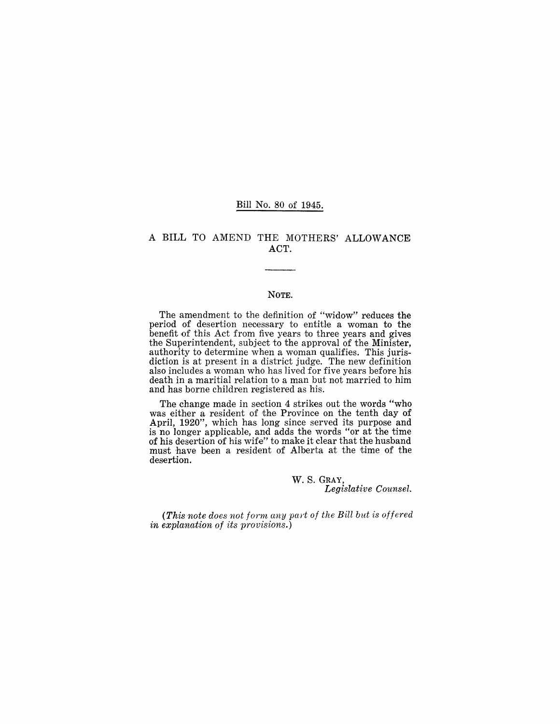#### Bill No. 80 of 1945.

## A BILL TO AMEND THE MOTHERS' ALLOWANCE ACT.

#### NOTE.

The amendment to the definition of "widow" reduces the period of desertion necessary to entitle a woman to the benefit of this Act from five years to three years and gives the Superintendent, subject to the approval of the Minister, authority to determine when a woman qualifies. This jurisdiction is at present in a district judge. The new definition also includes a woman who has lived for five years before his death in a maritial relation to a man but not married to him and has borne children registered as his.

The change made in section 4 strikes out the words "who was either a resident of the Province on the tenth day of April, 1920", which has long since served its purpose and is no longer applicable, and adds the words "or at the time of his desertion of his wife" to make it clear that the husband must have been a resident of Alberta at the time of the desertion.

> W. S. GRAY, *Legislative Counsel.*

(This note does not form any part of the Bill but is offered *in explanation of its provisions.)*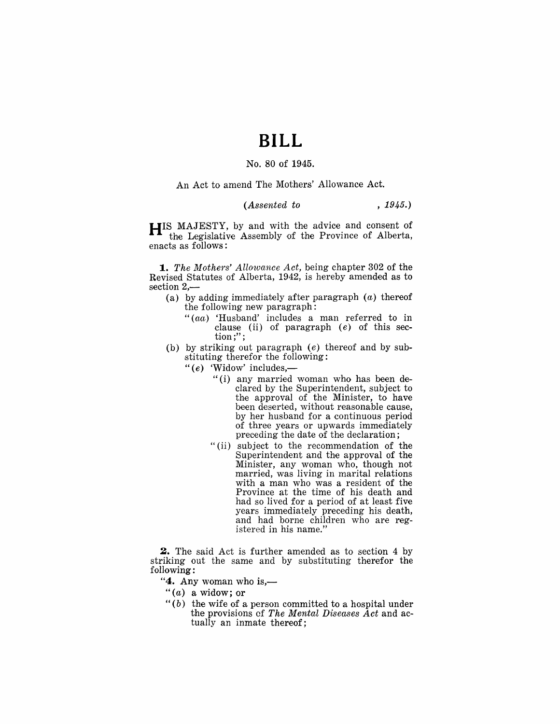# **BILL**

# No. 80 of 1945.

An Act to amend The Mothers' Allowance Act.

### *(Assented to* , 1945.)

**HIS** MAJESTY, by and with the advice and consent of the Legislaltive Assembly of the Province of Alberta, enacts as follows:

*1. The Mothers' Allowance Act,* being chapter 302 of the Revised Statutes of Alberta, 1942, is hereby amended as to  $section 2, -$ 

- (a) by adding immediately after paragraph  $(a)$  thereof the following new paragraph:
	- *"(aa)* 'Husband' includes a man referred to in clause (ii) of paragraph  $(e)$  of this section;";
- (b) by striking out paragraph (e) thereof and by substituting therefor the following:
	- " $(e)$  'Widow' includes,—
		- "(i) any married woman who has been declared by the Superintendent, subject to the approval of the Minister, to have been deserted, without reasonable cause, by her husband for a continuous period of three years or upwards immediately preceding the date of the declaration;
		- "(ii) subject to the recommendation of the Superintendent and the approval of the Minister, any woman who, though not married, was living in marital relations with a man who was a resident of the Province at the time of his death and had so lived for a period of at least five years immediately preceding his death, and had borne children who are registered in his name."

**2.** The said Act is further amended as to section 4 by striking out the same and by substituting therefor the following:

" $4$ . Any woman who is,—

- " $(a)$  a widow; or
- " $(b)$  the wife of a person committed to a hospital under the provisions of *The Mental Diseases Act* and actually an inmate thereof;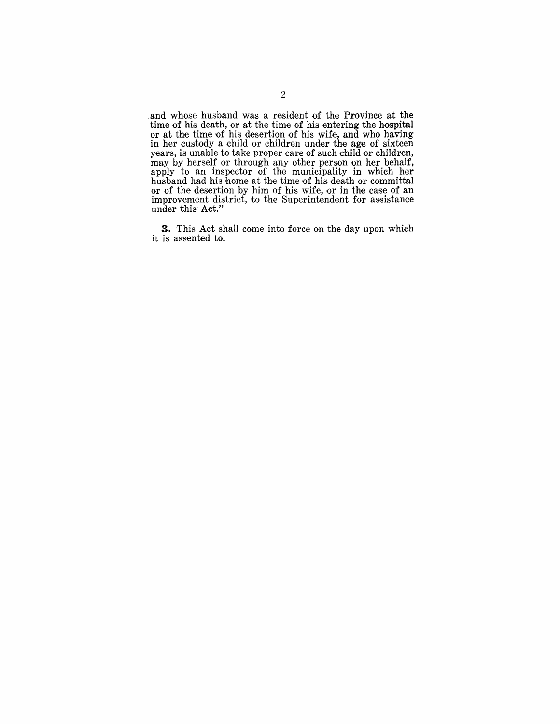.and whose husband was a resident of the Province at the time of his death, or at the time of his entering the hospital or at the time of his desertion of his wife, and who having in her custody a child or children under the age of sixteen years, is unable to take proper care of such child or children, may by herself or through any other person on her behalf, apply to an inspector of the municipality in which her husband had his home at the time of his. death or committal or of the desertion by him of his wife, or in the case of an improvement district, to the Superintendent for assistance under this Act."

**3.** This Act shall come into force on the day upon which it is assented to.